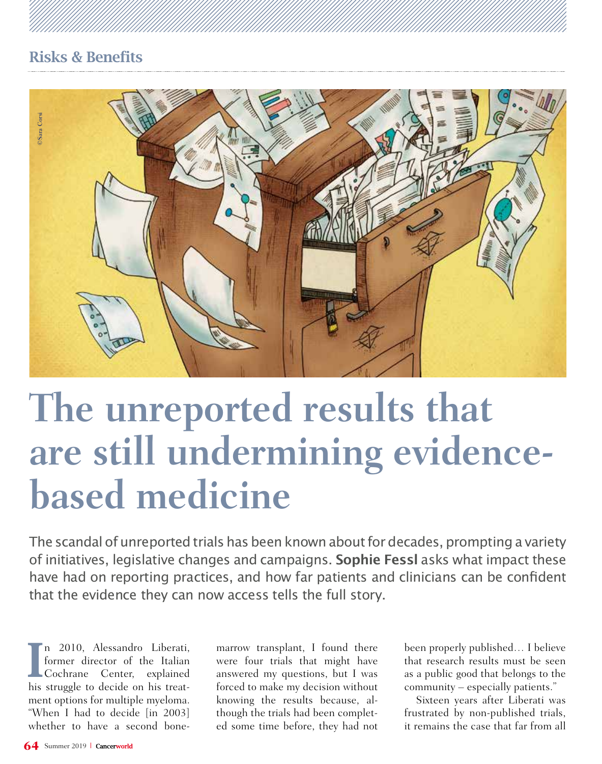

# **The unreported results that are still undermining evidencebased medicine**

The scandal of unreported trials has been known about for decades, prompting a variety of initiatives, legislative changes and campaigns. **Sophie Fessl** asks what impact these have had on reporting practices, and how far patients and clinicians can be confident that the evidence they can now access tells the full story.

I n 2010, Alessandro Liberati,<br>
former director of the Italian<br>
Cochrane Center, explained n 2010, Alessandro Liberati, former director of the Italian his struggle to decide on his treatment options for multiple myeloma. "When I had to decide [in 2003] whether to have a second bone-

marrow transplant, I found there were four trials that might have answered my questions, but I was forced to make my decision without knowing the results because, although the trials had been completed some time before, they had not

been properly published… I believe that research results must be seen as a public good that belongs to the community – especially patients."

Sixteen years after Liberati was frustrated by non-published trials, it remains the case that far from all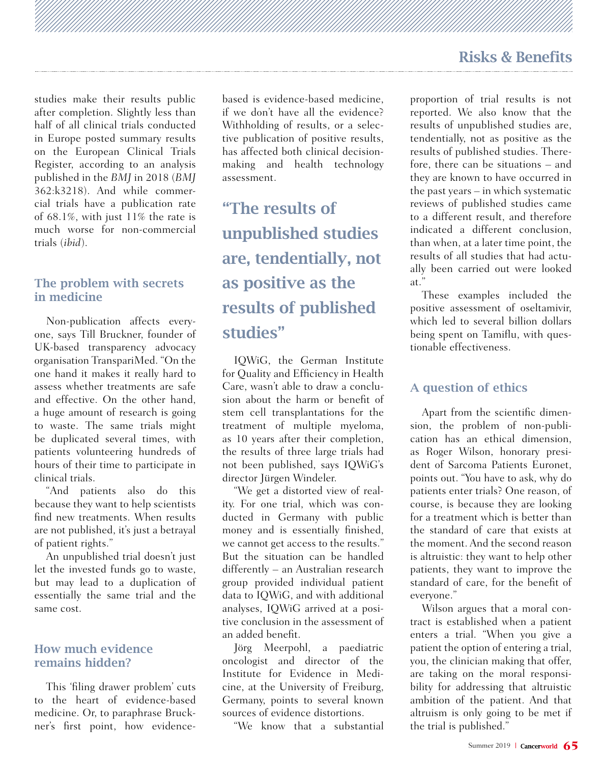studies make their results public after completion. Slightly less than half of all clinical trials conducted in Europe posted summary results on the European Clinical Trials Register, according to an analysis published in the *BMJ* in 2018 (*BMJ*  362:k3218). And while commercial trials have a publication rate of 68.1%, with just 11% the rate is much worse for non-commercial trials (*ibid*).

#### The problem with secrets in medicine

Non-publication affects everyone, says Till Bruckner, founder of UK-based transparency advocacy organisation TranspariMed. "On the one hand it makes it really hard to assess whether treatments are safe and effective. On the other hand, a huge amount of research is going to waste. The same trials might be duplicated several times, with patients volunteering hundreds of hours of their time to participate in clinical trials.

"And patients also do this because they want to help scientists find new treatments. When results are not published, it's just a betrayal of patient rights."

An unpublished trial doesn't just let the invested funds go to waste, but may lead to a duplication of essentially the same trial and the same cost.

#### How much evidence remains hidden?

This 'filing drawer problem' cuts to the heart of evidence-based medicine. Or, to paraphrase Bruckner's first point, how evidence-

based is evidence-based medicine, if we don't have all the evidence? Withholding of results, or a selective publication of positive results, has affected both clinical decisionmaking and health technology assessment.

"The results of unpublished studies are, tendentially, not as positive as the results of published studies"

IQWiG, the German Institute for Quality and Efficiency in Health Care, wasn't able to draw a conclusion about the harm or benefit of stem cell transplantations for the treatment of multiple myeloma, as 10 years after their completion, the results of three large trials had not been published, says IQWiG's director Jürgen Windeler.

"We get a distorted view of reality. For one trial, which was conducted in Germany with public money and is essentially finished, we cannot get access to the results." But the situation can be handled differently – an Australian research group provided individual patient data to IQWiG, and with additional analyses, IQWiG arrived at a positive conclusion in the assessment of an added benefit.

Jörg Meerpohl, a paediatric oncologist and director of the Institute for Evidence in Medicine, at the University of Freiburg, Germany, points to several known sources of evidence distortions.

"We know that a substantial

proportion of trial results is not reported. We also know that the results of unpublished studies are, tendentially, not as positive as the results of published studies. Therefore, there can be situations – and they are known to have occurred in the past years – in which systematic reviews of published studies came to a different result, and therefore indicated a different conclusion, than when, at a later time point, the results of all studies that had actually been carried out were looked at."

These examples included the positive assessment of oseltamivir, which led to several billion dollars being spent on Tamiflu, with questionable effectiveness.

### A question of ethics

Apart from the scientific dimension, the problem of non-publication has an ethical dimension, as Roger Wilson, honorary president of Sarcoma Patients Euronet, points out. "You have to ask, why do patients enter trials? One reason, of course, is because they are looking for a treatment which is better than the standard of care that exists at the moment. And the second reason is altruistic: they want to help other patients, they want to improve the standard of care, for the benefit of everyone."

Wilson argues that a moral contract is established when a patient enters a trial. "When you give a patient the option of entering a trial, you, the clinician making that offer, are taking on the moral responsibility for addressing that altruistic ambition of the patient. And that altruism is only going to be met if the trial is published."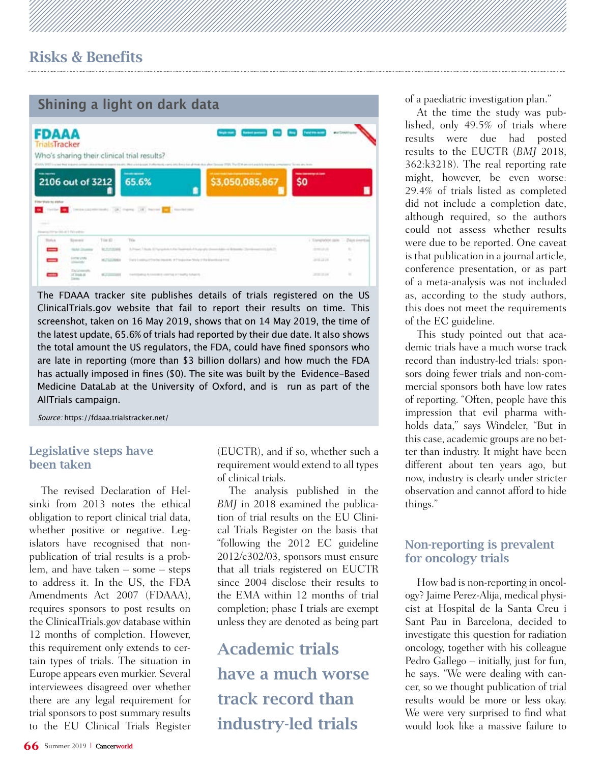## **Shining a light on dark data** 1 **Corporation** (2) (3) **FDAAA rialsTracker** Who's sharing their clinical trial results? \$3,050,085,867 2106 out of 3212 65.6% \$0 The corresponding to the corresponding to the corresponding to the corresponding to the corresponding to the corresponding to the corresponding to the corresponding to the corresponding to the corresponding to the correspo tox it best and other issues a free in the control and ection

The FDAAA tracker site publishes details of trials registered on the US ClinicalTrials.gov website that fail to report their results on time. This screenshot, taken on 16 May 2019, shows that on 14 May 2019, the time of the latest update, 65.6% of trials had reported by their due date. It also shows the total amount the US regulators, the FDA, could have fined sponsors who are late in reporting (more than \$3 billion dollars) and how much the FDA has actually imposed in fines (\$0). The site was built by the Evidence-Based Medicine DataLab at the University of Oxford, and is run as part of the AllTrials campaign.

Source: https://fdaaa.trialstracker.net/

#### Legislative steps have been taken

The revised Declaration of Helsinki from 2013 notes the ethical obligation to report clinical trial data, whether positive or negative. Legislators have recognised that nonpublication of trial results is a problem, and have taken – some – steps to address it. In the US, the FDA Amendments Act 2007 (FDAAA), requires sponsors to post results on the ClinicalTrials.gov database within 12 months of completion. However, this requirement only extends to certain types of trials. The situation in Europe appears even murkier. Several interviewees disagreed over whether there are any legal requirement for trial sponsors to post summary results to the EU Clinical Trials Register

(EUCTR), and if so, whether such a requirement would extend to all types of clinical trials.

The analysis published in the *BMJ* in 2018 examined the publication of trial results on the EU Clinical Trials Register on the basis that "following the 2012 EC guideline 2012/c302/03, sponsors must ensure that all trials registered on EUCTR since 2004 disclose their results to the EMA within 12 months of trial completion; phase I trials are exempt unless they are denoted as being part

Academic trials have a much worse track record than industry-led trials

of a paediatric investigation plan."

At the time the study was published, only 49.5% of trials where results were due had posted results to the EUCTR (*BMJ* 2018, 362:k3218). The real reporting rate might, however, be even worse: 29.4% of trials listed as completed did not include a completion date, although required, so the authors could not assess whether results were due to be reported. One caveat is that publication in a journal article, conference presentation, or as part of a meta-analysis was not included as, according to the study authors, this does not meet the requirements of the EC guideline.

This study pointed out that academic trials have a much worse track record than industry-led trials: sponsors doing fewer trials and non-commercial sponsors both have low rates of reporting. "Often, people have this impression that evil pharma withholds data," says Windeler, "But in this case, academic groups are no better than industry. It might have been different about ten years ago, but now, industry is clearly under stricter observation and cannot afford to hide things."

#### Non-reporting is prevalent for oncology trials

How bad is non-reporting in oncology? Jaime Perez-Alija, medical physicist at Hospital de la Santa Creu i Sant Pau in Barcelona, decided to investigate this question for radiation oncology, together with his colleague Pedro Gallego – initially, just for fun, he says. "We were dealing with cancer, so we thought publication of trial results would be more or less okay. We were very surprised to find what would look like a massive failure to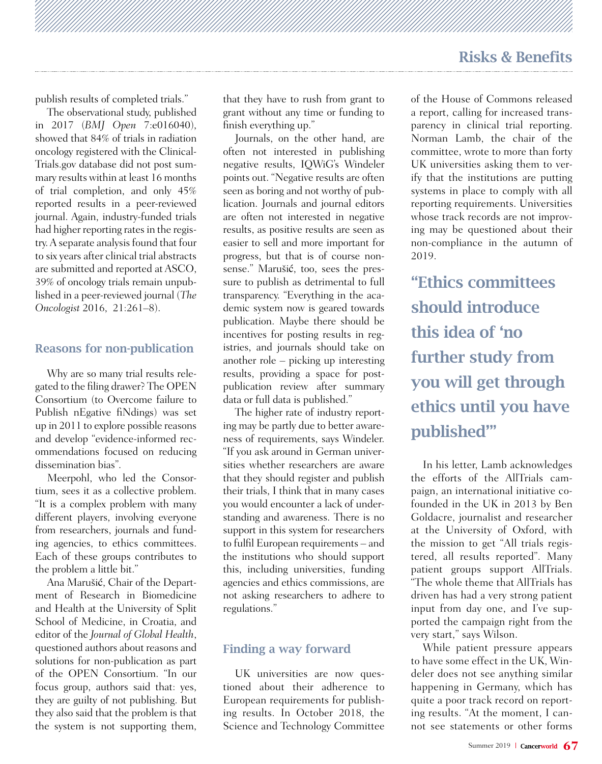publish results of completed trials."

The observational study, published in 2017 (*BMJ Open* 7:e016040), showed that 84% of trials in radiation oncology registered with the Clinical-Trials.gov database did not post summary results within at least 16 months of trial completion, and only 45% reported results in a peer-reviewed journal. Again, industry-funded trials had higher reporting rates in the registry. A separate analysis found that four to six years after clinical trial abstracts are submitted and reported at ASCO, 39% of oncology trials remain unpublished in a peer-reviewed journal (*The Oncologist* 2016, 21:261–8).

#### Reasons for non-publication

Why are so many trial results relegated to the filing drawer? The OPEN Consortium (to Overcome failure to Publish nEgative fiNdings) was set up in 2011 to explore possible reasons and develop "evidence-informed recommendations focused on reducing dissemination bias".

Meerpohl, who led the Consortium, sees it as a collective problem. "It is a complex problem with many different players, involving everyone from researchers, journals and funding agencies, to ethics committees. Each of these groups contributes to the problem a little bit."

Ana Marušić, Chair of the Department of Research in Biomedicine and Health at the University of Split School of Medicine, in Croatia, and editor of the *Journal of Global Health*, questioned authors about reasons and solutions for non-publication as part of the OPEN Consortium. "In our focus group, authors said that: yes, they are guilty of not publishing. But they also said that the problem is that the system is not supporting them, that they have to rush from grant to grant without any time or funding to finish everything up."

Journals, on the other hand, are often not interested in publishing negative results, IQWiG's Windeler points out. "Negative results are often seen as boring and not worthy of publication. Journals and journal editors are often not interested in negative results, as positive results are seen as easier to sell and more important for progress, but that is of course nonsense." Marušić, too, sees the pressure to publish as detrimental to full transparency. "Everything in the academic system now is geared towards publication. Maybe there should be incentives for posting results in registries, and journals should take on another role – picking up interesting results, providing a space for postpublication review after summary data or full data is published."

The higher rate of industry reporting may be partly due to better awareness of requirements, says Windeler. "If you ask around in German universities whether researchers are aware that they should register and publish their trials, I think that in many cases you would encounter a lack of understanding and awareness. There is no support in this system for researchers to fulfil European requirements – and the institutions who should support this, including universities, funding agencies and ethics commissions, are not asking researchers to adhere to regulations."

#### Finding a way forward

UK universities are now questioned about their adherence to European requirements for publishing results. In October 2018, the Science and Technology Committee

of the House of Commons released a report, calling for increased transparency in clinical trial reporting. Norman Lamb, the chair of the committee, wrote to more than forty UK universities asking them to verify that the institutions are putting systems in place to comply with all reporting requirements. Universities whose track records are not improving may be questioned about their non-compliance in the autumn of 2019.

"Ethics committees should introduce this idea of 'no further study from you will get through ethics until you have published'"

In his letter, Lamb acknowledges the efforts of the AllTrials campaign, an international initiative cofounded in the UK in 2013 by Ben Goldacre, journalist and researcher at the University of Oxford, with the mission to get "All trials registered, all results reported". Many patient groups support AllTrials. "The whole theme that AllTrials has driven has had a very strong patient input from day one, and I've supported the campaign right from the very start," says Wilson.

While patient pressure appears to have some effect in the UK, Windeler does not see anything similar happening in Germany, which has quite a poor track record on reporting results. "At the moment, I cannot see statements or other forms